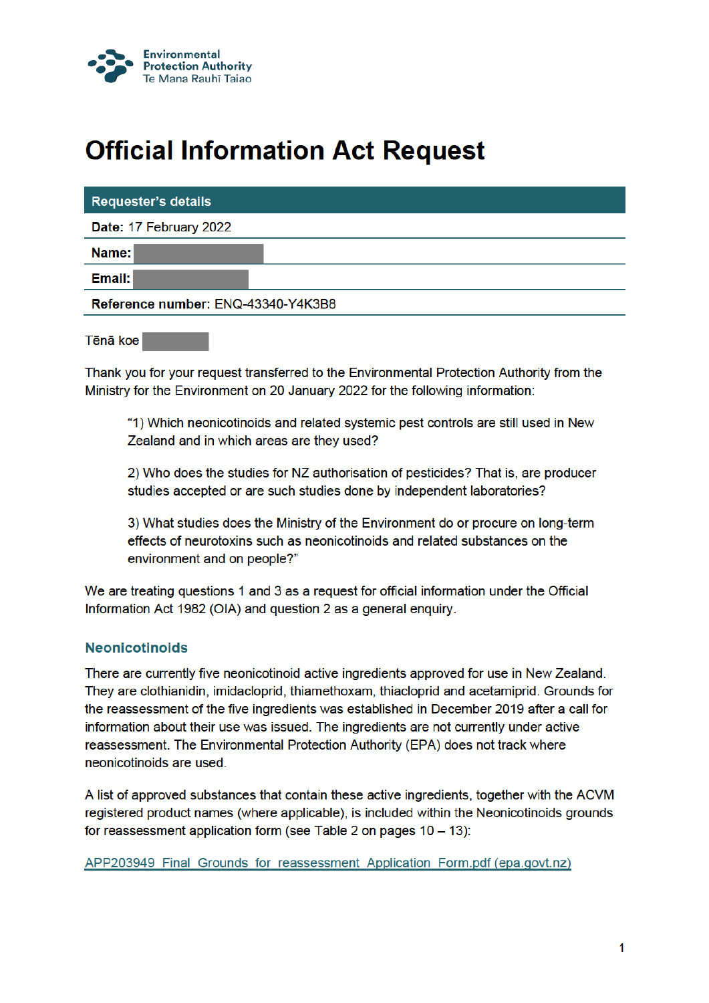

## **Official Information Act Request**

| <b>Requester's details</b>         |  |
|------------------------------------|--|
| Date: 17 February 2022             |  |
| Name:                              |  |
| Email:                             |  |
| Reference number: ENQ-43340-Y4K3B8 |  |

Thank you for your request transferred to the Environmental Protection Authority from the Ministry for the Environment on 20 January 2022 for the following information:

"1) Which neonicotinoids and related systemic pest controls are still used in New Zealand and in which areas are they used?

2) Who does the studies for NZ authorisation of pesticides? That is, are producer studies accepted or are such studies done by independent laboratories?

3) What studies does the Ministry of the Environment do or procure on long-term effects of neurotoxins such as neonicotinoids and related substances on the environment and on people?"

We are treating questions 1 and 3 as a request for official information under the Official Information Act 1982 (OIA) and question 2 as a general enguiry.

## **Neonicotinoids**

There are currently five neonicotinoid active ingredients approved for use in New Zealand. They are clothianidin, imidacloprid, thiamethoxam, thiacloprid and acetamiprid. Grounds for the reassessment of the five ingredients was established in December 2019 after a call for information about their use was issued. The ingredients are not currently under active reassessment. The Environmental Protection Authority (EPA) does not track where neonicotinoids are used.

A list of approved substances that contain these active ingredients, together with the ACVM registered product names (where applicable), is included within the Neonicotinoids grounds for reassessment application form (see Table 2 on pages  $10 - 13$ ):

APP203949 Final Grounds for reassessment Application Form.pdf (epa.govt.nz)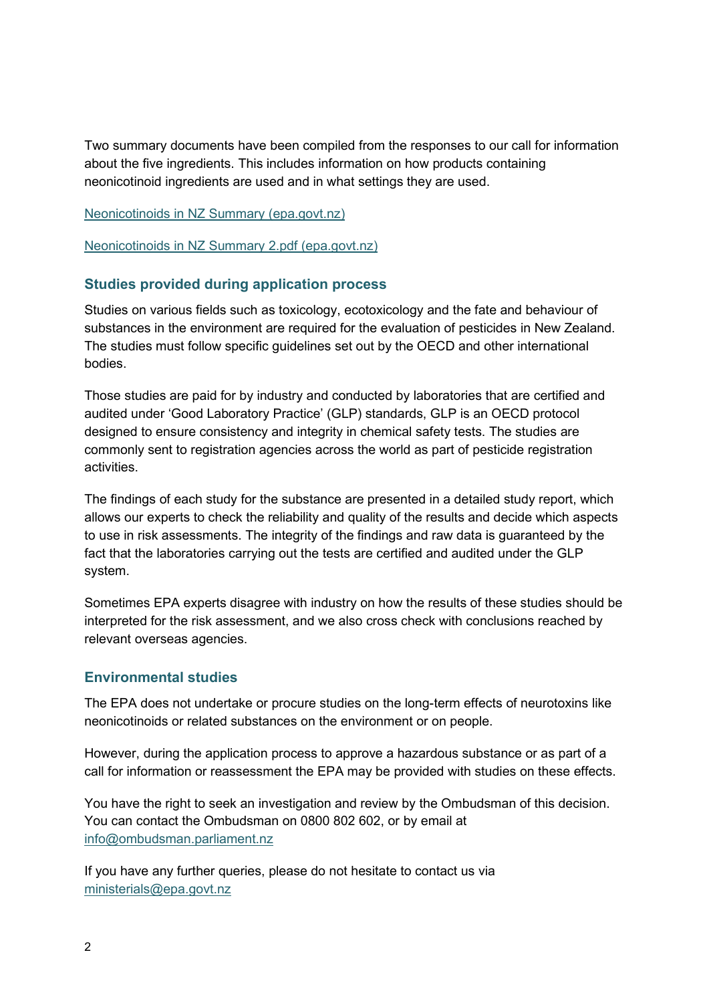Two summary documents have been compiled from the responses to our call for information about the five ingredients. This includes information on how products containing neonicotinoid ingredients are used and in what settings they are used.

Neonicotinoids in NZ Summary (epa.govt.nz)

Neonicotinoids in NZ Summary 2.pdf (epa.govt.nz)

## **Studies provided during application process**

Studies on various fields such as toxicology, ecotoxicology and the fate and behaviour of substances in the environment are required for the evaluation of pesticides in New Zealand. The studies must follow specific guidelines set out by the OECD and other international bodies.

Those studies are paid for by industry and conducted by laboratories that are certified and audited under 'Good Laboratory Practice' (GLP) standards, GLP is an OECD protocol designed to ensure consistency and integrity in chemical safety tests. The studies are commonly sent to registration agencies across the world as part of pesticide registration activities.

The findings of each study for the substance are presented in a detailed study report, which allows our experts to check the reliability and quality of the results and decide which aspects to use in risk assessments. The integrity of the findings and raw data is guaranteed by the fact that the laboratories carrying out the tests are certified and audited under the GLP system.

Sometimes EPA experts disagree with industry on how the results of these studies should be interpreted for the risk assessment, and we also cross check with conclusions reached by relevant overseas agencies.

## **Environmental studies**

The EPA does not undertake or procure studies on the long-term effects of neurotoxins like neonicotinoids or related substances on the environment or on people.

However, during the application process to approve a hazardous substance or as part of a call for information or reassessment the EPA may be provided with studies on these effects.

You have the right to seek an investigation and review by the Ombudsman of this decision. You can contact the Ombudsman on 0800 802 602, or by email at info@ombudsman.parliament.nz

If you have any further queries, please do not hesitate to contact us via ministerials@epa.govt.nz